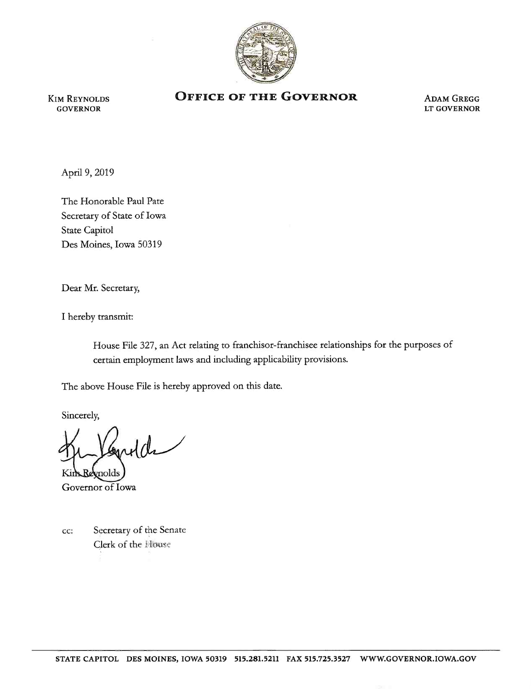

KIM REYNOLDS GOVERNOR

## **OFFICE OF THE GOVERNOR ADAM GREGG**

LT GOVERNOR

April 9, 2019

The Honorable Paul Pate Secretary of State of Iowa State Capitol Des Moines, Iowa 50319

Dear Mr. Secretary,

I hereby transmit:

House File 327, an Act relating to franchisor-franchisee relationships for the purposes of certain employment laws and including applicability provisions.

The above House File is hereby approved on this date.

Sincerely,

ulde nolds

Governor of Iowa

cc: Secretary of the Senate Clerk of the House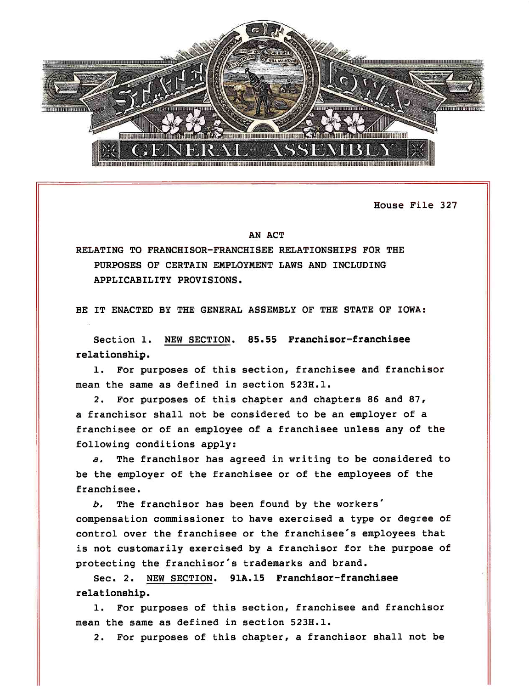

House File 327

## AN ACT

RELATING TO FRANCHISOR-FRANCHISEE RELATIONSHIPS FOR THE PURPOSES OF CERTAIN EMPLOYMENT LAWS AND INCLUDING APPLICABILITY PROVISIONS.

BE IT ENACTED BY THE GENERAL ASSEMBLY OF THE STATE OF IOWA:

Section 1. NEW SECTION. 85.55 Franchisor-franchisee relationship.

1. For purposes of this section, franchisee and franchisor mean the same as defined in section 523H.l.

2. For purposes of this chapter and chapters 86 and 87, <sup>a</sup>franchisor shall not be considered to be an employer of <sup>a</sup> franchisee or of an employee of a franchisee unless any of the following conditions apply:

*a.* The franchisor has agreed in writing to be considered to be the employer of the franchisee or of the employees of the franchisee.

*b.* The franchisor has been found by the workers' compensation commissioner to have exercised a type or degree of control over the franchisee or the franchisee's employees that is not customarily exercised by a franchisor for the purpose of protecting the franchisor's trademarks and brand.

Sec. 2. NEW SECTION. 91A.15 Franchisor-franchisee relationship.

1. For purposes of this section, franchisee and franchisor mean the same as defined in section 523H.l.

2. For purposes of this chapter, a franchisor shall not be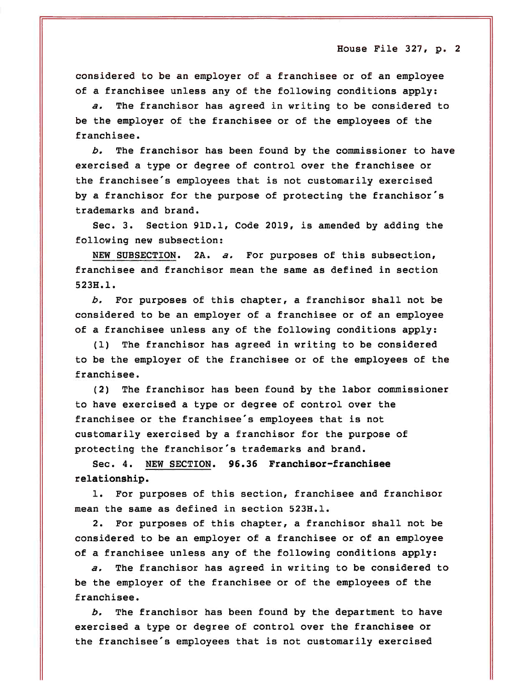House File  $327$ , p. 2

considered to be an employer of a franchisee or of an employee of a franchisee unless any of the following conditions apply:

*a.* The franchisor has agreed in writing to be considered to be the employer of the franchisee or of the employees of the franchisee.

*b.* The franchisor has been found by the commissioner to have exercised a type or degree of control over the franchisee or the franchisee's employees that is not customarily exercised by a franchisor for the purpose of protecting the franchisor's trademarks and brand.

Sec. 3. Section 91D.l, Code 2019, is amended by adding the following new subsection:

NEW SUBSECTION. 2A. *a.* For purposes of this subsection, franchisee and franchisor mean the same as defined in section 523H.l.

*b.* For purposes of this chapter, a franchisor shall not be considered to be an employer of a franchisee or of an employee of a franchisee unless any of the following conditions apply:

(1) The franchisor has agreed in writing to be considered to be the employer of the franchisee or of the employees of the franchisee.

(2) The franchisor has been found by the labor commissioner to have exercised a type or degree of control over the franchisee or the franchisee's employees that is not customarily exercised by a franchisor for the purpose of protecting the franchisor's trademarks and brand.

Sec. 4. NEW SECTION. **96.36 Franchisor-franchisee relationship.** 

1. For purposes of this section, franchisee and franchisor mean the same as defined in section 523H.l.

2. For purposes of this chapter, a franchisor shall not be considered to be an employer of a franchisee or of an employee of a franchisee unless any of the following conditions apply:

*a.* The franchisor has agreed in writing to be considered to be the employer of the franchisee or of the employees of the franchisee.

*b.* The franchisor has been found by the department to have exercised a type or degree of control over the franchisee or the franchisee's employees that is not customarily exercised